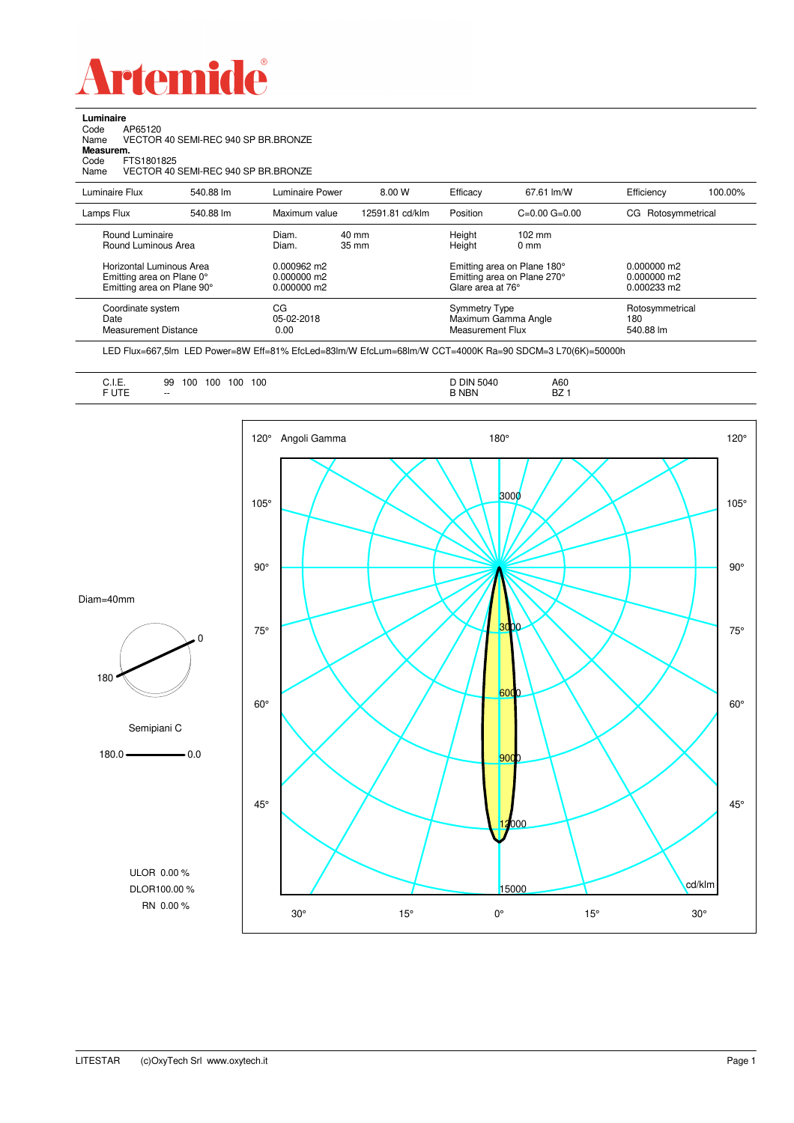

**Luminaire**<br>Code /<br>Name \ Code AP65120 Name VECTOR 40 SEMI-REC 940 SP BR.BRONZE

**Measurem.**

Code FTS1801825 Name VECTOR 40 SEMI-REC 940 SP BR.BRONZE

| Luminaire Flux                                                                                                                | 540.88 lm | Luminaire Power                                                          | 8.00 W                   | Efficacy                          | 67.61 lm/W                                                                                                                                | Efficiency                          | 100.00% |
|-------------------------------------------------------------------------------------------------------------------------------|-----------|--------------------------------------------------------------------------|--------------------------|-----------------------------------|-------------------------------------------------------------------------------------------------------------------------------------------|-------------------------------------|---------|
| Lamps Flux                                                                                                                    | 540.88 lm | Maximum value                                                            | 12591.81 cd/klm          | Position                          | $C=0.00$ $G=0.00$                                                                                                                         | Rotosymmetrical<br>CG               |         |
| Round Luminaire<br>Round Luminous Area<br>Horizontal Luminous Area<br>Emitting area on Plane 0°<br>Emitting area on Plane 90° |           | Diam.<br>Diam.<br>$0.000962 \text{ m}$<br>$0.000000$ m2<br>$0.000000$ m2 | 40 mm<br>$35 \text{ mm}$ |                                   | Height<br>$102 \text{ mm}$<br>Height<br>$0 \text{ mm}$<br>Emitting area on Plane 180°<br>Emitting area on Plane 270°<br>Glare area at 76° |                                     |         |
| Coordinate system<br>Date<br><b>Measurement Distance</b>                                                                      |           | CG<br>05-02-2018<br>0.00                                                 |                          | Symmetry Type<br>Measurement Flux | Maximum Gamma Angle                                                                                                                       | Rotosymmetrical<br>180<br>540.88 lm |         |

LED Flux=667,5lm LED Power=8W Eff=81% EfcLed=83lm/W EfcLum=68lm/W CCT=4000K Ra=90 SDCM=3 L70(6K)=50000h

| 100<br>100<br>100<br>100<br>99<br><b></b><br>the contract of the contract of the<br><b>CUTC</b><br>UIE<br>$-$ | A60<br><b>DIN 5040</b><br>n7<br><b>NBN</b><br>DZ. |  |
|---------------------------------------------------------------------------------------------------------------|---------------------------------------------------|--|
|---------------------------------------------------------------------------------------------------------------|---------------------------------------------------|--|